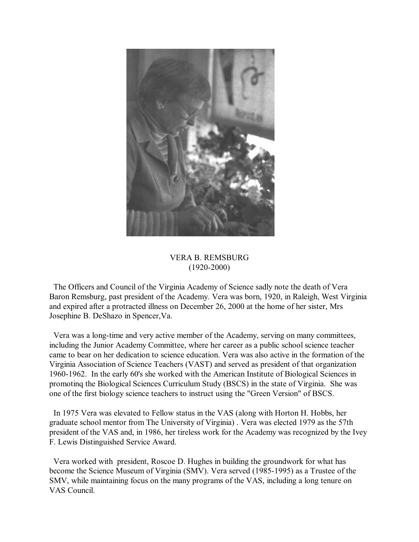

## VERA B. REMSBURG (1920-2000)

 The Officers and Council of the Virginia Academy of Science sadly note the death of Vera Baron Remsburg, past president of the Academy. Vera was born, 1920, in Raleigh, West Virginia and expired after a protracted illness on December 26, 2000 at the home of her sister, Mrs Josephine B. DeShazo in Spencer,Va.

 Vera was a long-time and very active member of the Academy, serving on many committees, including the Junior Academy Committee, where her career as a public school science teacher came to bear on her dedication to science education. Vera was also active in the formation of the Virginia Association of Science Teachers (VAST) and served as president of that organization 1960-1962. In the early 60's she worked with the American Institute of Biological Sciences in promotinq the Biological Sciences Curriculum Study (BSCS) in the state of Virginia. She was one of the first biology science teachers to instruct using the "Green Version" of BSCS.

 In 1975 Vera was elevated to Fellow status in the VAS (along with Horton H. Hobbs, her graduate school mentor from The University of Virginia) . Vera was elected 1979 as the 57th president of the VAS and, in 1986, her tireless work for the Academy was recognized by the Ivey F. Lewis Distinguished Service Award.

 Vera worked with president, Roscoe D. Hughes in building the groundwork for what has become the Science Museum of Virginia (SMV). Vera served (1985-1995) as a Trustee of the SMV, while maintaining focus on the many programs of the VAS, including a long tenure on VAS Council.